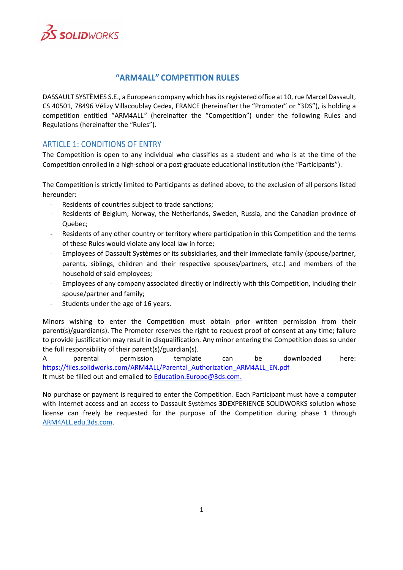

# **"ARM4ALL" COMPETITION RULES**

DASSAULT SYSTÈMES S.E., a European company which has its registered office at 10, rue Marcel Dassault, CS 40501, 78496 Vélizy Villacoublay Cedex, FRANCE (hereinafter the "Promoter" or "3DS"), is holding a competition entitled "ARM4ALL*"* (hereinafter the "Competition") under the following Rules and Regulations (hereinafter the "Rules").

## ARTICLE 1: CONDITIONS OF ENTRY

The Competition is open to any individual who classifies as a student and who is at the time of the Competition enrolled in a high-school or a post-graduate educational institution (the "Participants").

The Competition is strictly limited to Participants as defined above, to the exclusion of all persons listed hereunder:

- Residents of countries subject to trade sanctions;
- Residents of Belgium, Norway, the Netherlands, Sweden, Russia, and the Canadian province of Quebec;
- Residents of any other country or territory where participation in this Competition and the terms of these Rules would violate any local law in force;
- Employees of Dassault Systèmes or its subsidiaries, and their immediate family (spouse/partner, parents, siblings, children and their respective spouses/partners, etc.) and members of the household of said employees;
- Employees of any company associated directly or indirectly with this Competition, including their spouse/partner and family;
- Students under the age of 16 years.

Minors wishing to enter the Competition must obtain prior written permission from their parent(s)/guardian(s). The Promoter reserves the right to request proof of consent at any time; failure to provide justification may result in disqualification. Any minor entering the Competition does so under the full responsibility of their parent(s)/guardian(s).

A parental permission template can be downloaded here: [https://files.solidworks.com/ARM4ALL/Parental\\_Authorization\\_ARM4ALL\\_EN.pdf](https://files.solidworks.com/ARM4ALL/Parental_Authorization_ARM4ALL_EN.pdf) It must be filled out and emailed to **[Education.Europe@3ds.com.](mailto:Education.Europe@3ds.com.)** 

No purchase or payment is required to enter the Competition. Each Participant must have a computer with Internet access and an access to Dassault Systèmes **3D**EXPERIENCE SOLIDWORKS solution whose license can freely be requested for the purpose of the Competition during phase 1 through ARM4ALL.edu.3ds.com.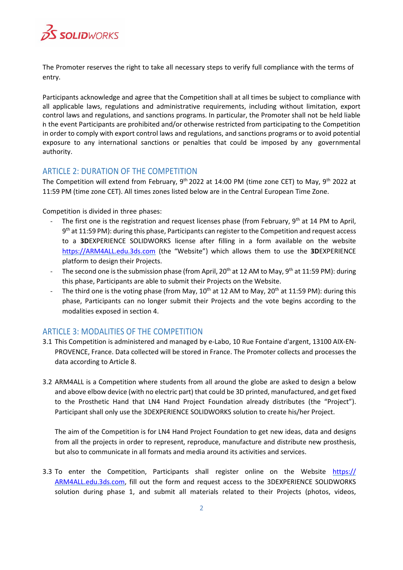

The Promoter reserves the right to take all necessary steps to verify full compliance with the terms of entry.

Participants acknowledge and agree that the Competition shall at all times be subject to compliance with all applicable laws, regulations and administrative requirements, including without limitation, export control laws and regulations, and sanctions programs. In particular, the Promoter shall not be held liable in the event Participants are prohibited and/or otherwise restricted from participating to the Competition in order to comply with export control laws and regulations, and sanctions programs or to avoid potential exposure to any international sanctions or penalties that could be imposed by any governmental authority.

## ARTICLE 2: DURATION OF THE COMPETITION

The Competition will extend from February, 9<sup>th</sup> 2022 at 14:00 PM (time zone CET) to May, 9<sup>th</sup> 2022 at 11:59 PM (time zone CET). All times zones listed below are in the Central European Time Zone.

Competition is divided in three phases:

- The first one is the registration and request licenses phase (from February, 9<sup>th</sup> at 14 PM to April, 9 th at 11:59 PM): during this phase, Participants can register to the Competition and request access to a **3D**EXPERIENCE SOLIDWORKS license after filling in a form available on the website [https://ARM4ALL.edu.3ds.com](https://arm4all.edu.3ds.com/) (the "Website") which allows them to use the **3D**EXPERIENCE platform to design their Projects.
- The second one is the submission phase (from April, 20<sup>th</sup> at 12 AM to May, 9<sup>th</sup> at 11:59 PM): during this phase, Participants are able to submit their Projects on the Website.
- The third one is the voting phase (from May,  $10^{th}$  at 12 AM to May,  $20^{th}$  at 11:59 PM): during this phase, Participants can no longer submit their Projects and the vote begins according to the modalities exposed in section 4.

# ARTICLE 3: MODALITIES OF THE COMPETITION

- 3.1 This Competition is administered and managed by e-Labo, 10 Rue Fontaine d'argent, 13100 AIX-EN-PROVENCE, France. Data collected will be stored in France. The Promoter collects and processes the data according to Article 8.
- 3.2 ARM4ALL is a Competition where students from all around the globe are asked to design a below and above elbow device (with no electric part) that could be 3D printed, manufactured, and get fixed to the Prosthetic Hand that LN4 Hand Project Foundation already distributes (the "Project"). Participant shall only use the 3DEXPERIENCE SOLIDWORKS solution to create his/her Project.

The aim of the Competition is for LN4 Hand Project Foundation to get new ideas, data and designs from all the projects in order to represent, reproduce, manufacture and distribute new prosthesis, but also to communicate in all formats and media around its activities and services.

3.3 To enter the Competition, Participants shall register online on the Website https:// ARM4ALL.edu.3ds.com, fill out the form and request access to the 3DEXPERIENCE SOLIDWORKS solution during phase 1, and submit all materials related to their Projects (photos, videos,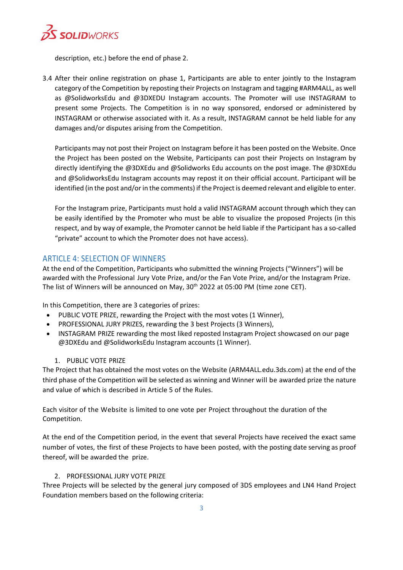

description, etc.) before the end of phase 2.

3.4 After their online registration on phase 1, Participants are able to enter jointly to the Instagram category of the Competition by reposting their Projects on Instagram and tagging #ARM4ALL, as well as @SolidworksEdu and @3DXEDU Instagram accounts. The Promoter will use INSTAGRAM to present some Projects. The Competition is in no way sponsored, endorsed or administered by INSTAGRAM or otherwise associated with it. As a result, INSTAGRAM cannot be held liable for any damages and/or disputes arising from the Competition.

Participants may not post their Project on Instagram before it has been posted on the Website. Once the Project has been posted on the Website, Participants can post their Projects on Instagram by directly identifying the @3DXEdu and @Solidworks Edu accounts on the post image. The @3DXEdu and @SolidworksEdu Instagram accounts may repost it on their official account. Participant will be identified (in the post and/or in the comments) if the Project is deemed relevant and eligible to enter.

For the Instagram prize, Participants must hold a valid INSTAGRAM account through which they can be easily identified by the Promoter who must be able to visualize the proposed Projects (in this respect, and by way of example, the Promoter cannot be held liable if the Participant has a so-called "private" account to which the Promoter does not have access).

## ARTICLE 4: SELECTION OF WINNERS

At the end of the Competition, Participants who submitted the winning Projects ("Winners") will be awarded with the Professional Jury Vote Prize, and/or the Fan Vote Prize, and/or the Instagram Prize. The list of Winners will be announced on May, 30<sup>th</sup> 2022 at 05:00 PM (time zone CET).

In this Competition, there are 3 categories of prizes:

- PUBLIC VOTE PRIZE, rewarding the Project with the most votes (1 Winner),
- PROFESSIONAL JURY PRIZES, rewarding the 3 best Projects (3 Winners),
- INSTAGRAM PRIZE rewarding the most liked reposted Instagram Project showcased on our page @3DXEdu and @SolidworksEdu Instagram accounts (1 Winner).

### 1. PUBLIC VOTE PRIZE

The Project that has obtained the most votes on the Website (ARM4ALL*.*edu.3ds.com) at the end of the third phase of the Competition will be selected as winning and Winner will be awarded prize the nature and value of which is described in Article 5 of the Rules.

Each visitor of the Website is limited to one vote per Project throughout the duration of the Competition.

At the end of the Competition period, in the event that several Projects have received the exact same number of votes, the first of these Projects to have been posted, with the posting date serving as proof thereof, will be awarded the prize.

### 2. PROFESSIONAL JURY VOTE PRIZE

Three Projects will be selected by the general jury composed of 3DS employees and LN4 Hand Project Foundation members based on the following criteria: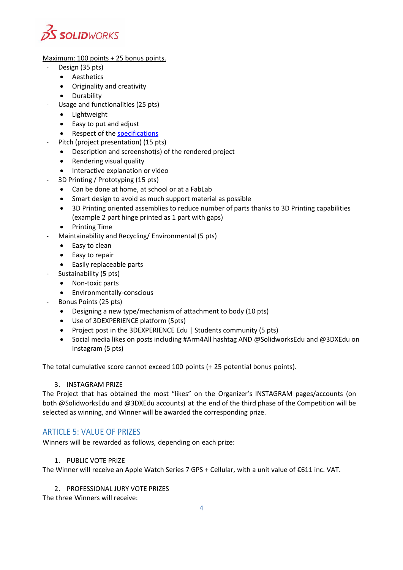

Maximum: 100 points + 25 bonus points.

- Design (35 pts)
	- Aesthetics
	- Originality and creativity
	- Durability
	- Usage and functionalities (25 pts)
		- Lightweight
		- Easy to put and adjust
		- Respect of th[e specifications](https://files.solidworks.com/ARM4ALL/ARM4ALL_Specifications_EN.pdf)
- Pitch (project presentation) (15 pts)
	- Description and screenshot(s) of the rendered project
	- Rendering visual quality
	- Interactive explanation or video
- 3D Printing / Prototyping (15 pts)
	- Can be done at home, at school or at a FabLab
	- Smart design to avoid as much support material as possible
	- 3D Printing oriented assemblies to reduce number of parts thanks to 3D Printing capabilities (example 2 part hinge printed as 1 part with gaps)
	- Printing Time
- Maintainability and Recycling/ Environmental (5 pts)
	- Easy to clean
	- Easy to repair
	- Easily replaceable parts
- Sustainability (5 pts)
	- Non-toxic parts
	- Environmentally-conscious
	- Bonus Points (25 pts)
		- Designing a new type/mechanism of attachment to body (10 pts)
		- Use of 3DEXPERIENCE platform (5pts)
		- Project post in the [3DEXPERIENCE Edu | Students](https://r1132100503382-eu1-3dswym.3dexperience.3ds.com/#community:AH6Out1lTB2kjqDkm0S-Qg) community (5 pts)
		- Social media likes on posts including #Arm4All hashtag AND @SolidworksEdu and @3DXEdu on Instagram (5 pts)

The total cumulative score cannot exceed 100 points (+ 25 potential bonus points).

### 3. INSTAGRAM PRIZE

The Project that has obtained the most "likes" on the Organizer's INSTAGRAM pages/accounts (on both @SolidworksEdu and @3DXEdu accounts) at the end of the third phase of the Competition will be selected as winning, and Winner will be awarded the corresponding prize.

# ARTICLE 5: VALUE OF PRIZES

Winners will be rewarded as follows, depending on each prize:

### 1. PUBLIC VOTE PRIZE

The Winner will receive an Apple Watch Series 7 GPS + Cellular, with a unit value of €611 inc. VAT.

2. PROFESSIONAL JURY VOTE PRIZES

The three Winners will receive: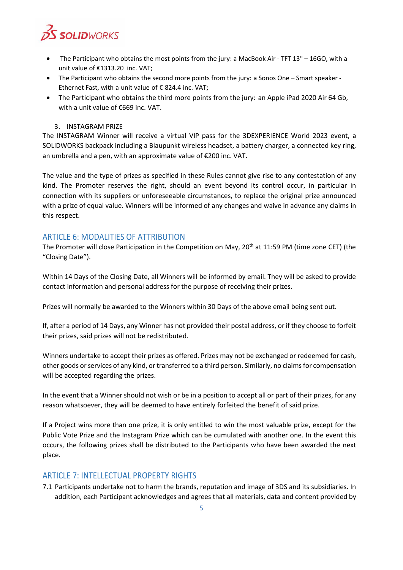

- The Participant who obtains the most points from the jury: a MacBook Air TFT 13" 16GO, with a unit value of €1313.20 inc. VAT;
- The Participant who obtains the second more points from the jury: a Sonos One Smart speaker Ethernet Fast, with a unit value of  $\epsilon$  824.4 inc. VAT;
- The Participant who obtains the third more points from the jury: an Apple iPad 2020 Air 64 Gb, with a unit value of €669 inc. VAT.

#### 3. INSTAGRAM PRIZE

The INSTAGRAM Winner will receive a virtual VIP pass for the 3DEXPERIENCE World 2023 event, a SOLIDWORKS backpack including a Blaupunkt wireless headset, a battery charger, a connected key ring, an umbrella and a pen, with an approximate value of €200 inc. VAT.

The value and the type of prizes as specified in these Rules cannot give rise to any contestation of any kind. The Promoter reserves the right, should an event beyond its control occur, in particular in connection with its suppliers or unforeseeable circumstances, to replace the original prize announced with a prize of equal value. Winners will be informed of any changes and waive in advance any claims in this respect.

### ARTICLE 6: MODALITIES OF ATTRIBUTION

The Promoter will close Participation in the Competition on May, 20<sup>th</sup> at 11:59 PM (time zone CET) (the "Closing Date").

Within 14 Days of the Closing Date, all Winners will be informed by email. They will be asked to provide contact information and personal address for the purpose of receiving their prizes.

Prizes will normally be awarded to the Winners within 30 Days of the above email being sent out.

If, after a period of 14 Days, any Winner has not provided their postal address, or if they choose to forfeit their prizes, said prizes will not be redistributed.

Winners undertake to accept their prizes as offered. Prizes may not be exchanged or redeemed for cash, other goods or services of any kind, or transferred to a third person. Similarly, no claims for compensation will be accepted regarding the prizes.

In the event that a Winner should not wish or be in a position to accept all or part of their prizes, for any reason whatsoever, they will be deemed to have entirely forfeited the benefit of said prize.

If a Project wins more than one prize, it is only entitled to win the most valuable prize, except for the Public Vote Prize and the Instagram Prize which can be cumulated with another one. In the event this occurs, the following prizes shall be distributed to the Participants who have been awarded the next place.

### ARTICLE 7: INTELLECTUAL PROPERTY RIGHTS

7.1 Participants undertake not to harm the brands, reputation and image of 3DS and its subsidiaries. In addition, each Participant acknowledges and agrees that all materials, data and content provided by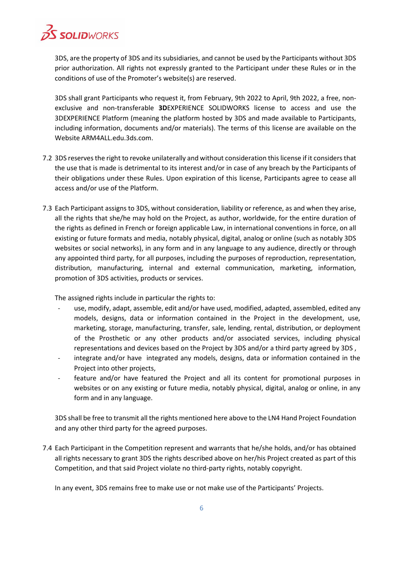

3DS, are the property of 3DS and its subsidiaries, and cannot be used by the Participants without 3DS prior authorization. All rights not expressly granted to the Participant under these Rules or in the conditions of use of the Promoter's website(s) are reserved.

3DS shall grant Participants who request it, from February, 9th 2022 to April, 9th 2022, a free, nonexclusive and non-transferable **3D**EXPERIENCE SOLIDWORKS license to access and use the 3DEXPERIENCE Platform (meaning the platform hosted by 3DS and made available to Participants, including information, documents and/or materials). The terms of this license are available on the Website ARM4ALL.edu.3ds.com.

- 7.2 3DS reserves the right to revoke unilaterally and without consideration this license if it considers that the use that is made is detrimental to its interest and/or in case of any breach by the Participants of their obligations under these Rules. Upon expiration of this license, Participants agree to cease all access and/or use of the Platform.
- 7.3 Each Participant assigns to 3DS, without consideration, liability or reference, as and when they arise, all the rights that she/he may hold on the Project, as author, worldwide, for the entire duration of the rights as defined in French or foreign applicable Law, in international conventions in force, on all existing or future formats and media, notably physical, digital, analog or online (such as notably 3DS websites or social networks), in any form and in any language to any audience, directly or through any appointed third party, for all purposes, including the purposes of reproduction, representation, distribution, manufacturing, internal and external communication, marketing, information, promotion of 3DS activities, products or services.

The assigned rights include in particular the rights to:

- use, modify, adapt, assemble, edit and/or have used, modified, adapted, assembled, edited any models, designs, data or information contained in the Project in the development, use, marketing, storage, manufacturing, transfer, sale, lending, rental, distribution, or deployment of the Prosthetic or any other products and/or associated services, including physical representations and devices based on the Project by 3DS and/or a third party agreed by 3DS ,
- integrate and/or have integrated any models, designs, data or information contained in the Project into other projects,
- feature and/or have featured the Project and all its content for promotional purposes in websites or on any existing or future media, notably physical, digital, analog or online, in any form and in any language.

3DS shall be free to transmit all the rights mentioned here above to the LN4 Hand Project Foundation and any other third party for the agreed purposes.

7.4 Each Participant in the Competition represent and warrants that he/she holds, and/or has obtained all rights necessary to grant 3DS the rights described above on her/his Project created as part of this Competition, and that said Project violate no third-party rights, notably copyright.

In any event, 3DS remains free to make use or not make use of the Participants' Projects.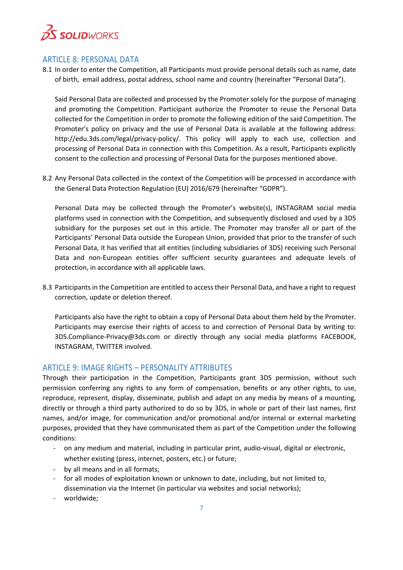

### ARTICLE 8: PERSONAL DATA

8.1 In order to enter the Competition, all Participants must provide personal details such as name, date of birth, email address, postal address, school name and country (hereinafter "Personal Data").

Said Personal Data are collected and processed by the Promoter solely for the purpose of managing and promoting the Competition. Participant authorize the Promoter to reuse the Personal Data collected for the Competition in order to promote the following edition of the said Competition. The Promoter's policy on privacy and the use of Personal Data is available at the following address: [http://edu.3ds.com/legal/privacy-policy/. T](http://edu.3ds.com/legal/privacy-policy/)his policy will apply to each use, collection and processing of Personal Data in connection with this Competition. As a result, Participants explicitly consent to the collection and processing of Personal Data for the purposes mentioned above.

8.2 Any Personal Data collected in the context of the Competition will be processed in accordance with the General Data Protection Regulation (EU) 2016/679 (hereinafter "GDPR").

Personal Data may be collected through the Promoter's website(s), INSTAGRAM social media platforms used in connection with the Competition, and subsequently disclosed and used by a 3DS subsidiary for the purposes set out in this article. The Promoter may transfer all or part of the Participants' Personal Data outside the European Union, provided that prior to the transfer of such Personal Data, it has verified that all entities (including subsidiaries of 3DS) receiving such Personal Data and non-European entities offer sufficient security guarantees and adequate levels of protection, in accordance with all applicable laws.

8.3 Participants in the Competition are entitled to access their Personal Data, and have a right to request correction, update or deletion thereof.

Participants also have the right to obtain a copy of Personal Data about them held by the Promoter. Participants may exercise their rights of access to and correction of Personal Data by writing to: [3DS.Compliance-Privacy@3ds.com](mailto:3DS.Compliance-Privacy@3ds.com) or directly through any social media platforms FACEBOOK, INSTAGRAM, TWITTER involved.

### ARTICLE 9: IMAGE RIGHTS – PERSONALITY ATTRIBUTES

Through their participation in the Competition, Participants grant 3DS permission, without such permission conferring any rights to any form of compensation, benefits or any other rights, to use, reproduce, represent, display, disseminate, publish and adapt on any media by means of a mounting, directly or through a third party authorized to do so by 3DS, in whole or part of their last names, first names, and/or image, for communication and/or promotional and/or internal or external marketing purposes, provided that they have communicated them as part of the Competition under the following conditions:

- on any medium and material, including in particular print, audio-visual, digital or electronic, whether existing (press, internet, posters, etc.) or future;
- by all means and in all formats;
- for all modes of exploitation known or unknown to date, including, but not limited to, dissemination via the Internet (in particular via websites and social networks);
- worldwide;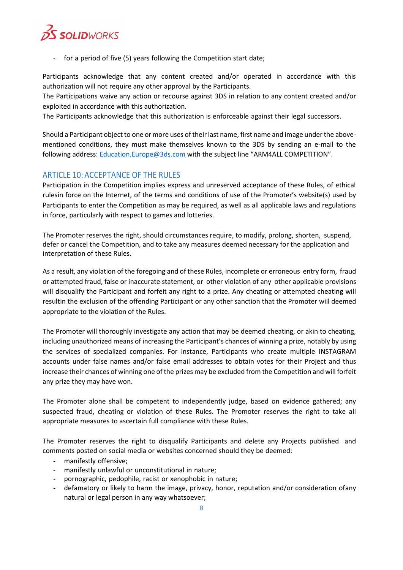

for a period of five (5) years following the Competition start date;

Participants acknowledge that any content created and/or operated in accordance with this authorization will not require any other approval by the Participants.

The Participations waive any action or recourse against 3DS in relation to any content created and/or exploited in accordance with this authorization.

The Participants acknowledge that this authorization is enforceable against their legal successors.

Should a Participant object to one or more uses of their last name, first name and image under the abovementioned conditions, they must make themselves known to the 3DS by sending an e-mail to the following address: [Education.Europe@3ds.com](mailto:3DSAcademy.team@3ds.com) with the subject line "ARM4ALL COMPETITION".

## ARTICLE 10: ACCEPTANCE OF THE RULES

Participation in the Competition implies express and unreserved acceptance of these Rules, of ethical rulesin force on the Internet, of the terms and conditions of use of the Promoter's website(s) used by Participants to enter the Competition as may be required, as well as all applicable laws and regulations in force, particularly with respect to games and lotteries.

The Promoter reserves the right, should circumstances require, to modify, prolong, shorten, suspend, defer or cancel the Competition, and to take any measures deemed necessary for the application and interpretation of these Rules.

As a result, any violation of the foregoing and of these Rules, incomplete or erroneous entry form, fraud or attempted fraud, false or inaccurate statement, or other violation of any other applicable provisions will disqualify the Participant and forfeit any right to a prize. Any cheating or attempted cheating will resultin the exclusion of the offending Participant or any other sanction that the Promoter will deemed appropriate to the violation of the Rules.

The Promoter will thoroughly investigate any action that may be deemed cheating, or akin to cheating, including unauthorized means of increasing the Participant's chances of winning a prize, notably by using the services of specialized companies. For instance, Participants who create multiple INSTAGRAM accounts under false names and/or false email addresses to obtain votes for their Project and thus increase their chances of winning one of the prizes may be excluded from the Competition and will forfeit any prize they may have won.

The Promoter alone shall be competent to independently judge, based on evidence gathered; any suspected fraud, cheating or violation of these Rules. The Promoter reserves the right to take all appropriate measures to ascertain full compliance with these Rules.

The Promoter reserves the right to disqualify Participants and delete any Projects published and comments posted on social media or websites concerned should they be deemed:

- manifestly offensive;
- manifestly unlawful or unconstitutional in nature;
- pornographic, pedophile, racist or xenophobic in nature;
- defamatory or likely to harm the image, privacy, honor, reputation and/or consideration ofany natural or legal person in any way whatsoever;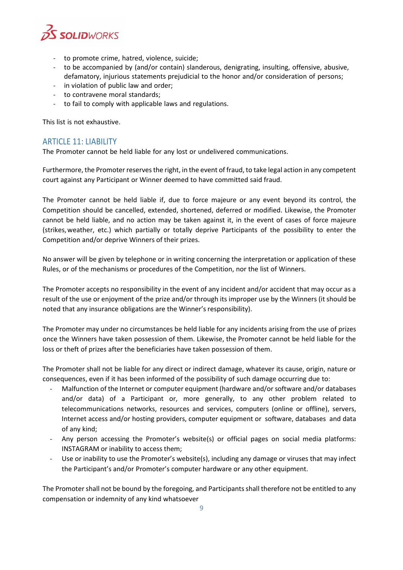

- to promote crime, hatred, violence, suicide;
- to be accompanied by (and/or contain) slanderous, denigrating, insulting, offensive, abusive, defamatory, injurious statements prejudicial to the honor and/or consideration of persons;
- in violation of public law and order;
- to contravene moral standards;
- to fail to comply with applicable laws and regulations.

This list is not exhaustive.

## ARTICLE 11: LIABILITY

The Promoter cannot be held liable for any lost or undelivered communications.

Furthermore, the Promoter reserves the right, in the event of fraud, to take legal action in any competent court against any Participant or Winner deemed to have committed said fraud.

The Promoter cannot be held liable if, due to force majeure or any event beyond its control, the Competition should be cancelled, extended, shortened, deferred or modified. Likewise, the Promoter cannot be held liable, and no action may be taken against it, in the event of cases of force majeure (strikes,weather, etc.) which partially or totally deprive Participants of the possibility to enter the Competition and/or deprive Winners of their prizes.

No answer will be given by telephone or in writing concerning the interpretation or application of these Rules, or of the mechanisms or procedures of the Competition, nor the list of Winners.

The Promoter accepts no responsibility in the event of any incident and/or accident that may occur as a result of the use or enjoyment of the prize and/or through its improper use by the Winners (it should be noted that any insurance obligations are the Winner's responsibility).

The Promoter may under no circumstances be held liable for any incidents arising from the use of prizes once the Winners have taken possession of them. Likewise, the Promoter cannot be held liable for the loss or theft of prizes after the beneficiaries have taken possession of them.

The Promoter shall not be liable for any direct or indirect damage, whatever its cause, origin, nature or consequences, even if it has been informed of the possibility of such damage occurring due to:

- Malfunction of the Internet or computer equipment (hardware and/or software and/or databases and/or data) of a Participant or, more generally, to any other problem related to telecommunications networks, resources and services, computers (online or offline), servers, Internet access and/or hosting providers, computer equipment or software, databases and data of any kind;
- Any person accessing the Promoter's website(s) or official pages on social media platforms: INSTAGRAM or inability to access them;
- Use or inability to use the Promoter's website(s), including any damage or viruses that may infect the Participant's and/or Promoter's computer hardware or any other equipment.

The Promoter shall not be bound by the foregoing, and Participants shall therefore not be entitled to any compensation or indemnity of any kind whatsoever